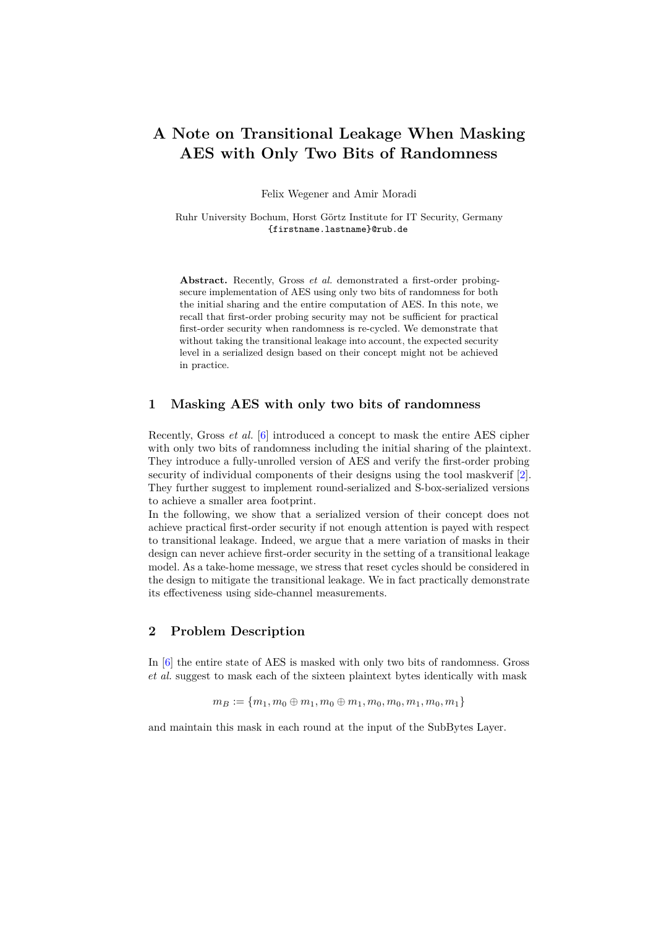# **A Note on Transitional Leakage When Masking AES with Only Two Bits of Randomness**

Felix Wegener and Amir Moradi

Ruhr University Bochum, Horst Görtz Institute for IT Security, Germany {firstname.lastname}@rub.de

**Abstract.** Recently, Gross *et al.* demonstrated a first-order probingsecure implementation of AES using only two bits of randomness for both the initial sharing and the entire computation of AES. In this note, we recall that first-order probing security may not be sufficient for practical first-order security when randomness is re-cycled. We demonstrate that without taking the transitional leakage into account, the expected security level in a serialized design based on their concept might not be achieved in practice.

#### **1 Masking AES with only two bits of randomness**

Recently, Gross *et al.* [\[6\]](#page-4-0) introduced a concept to mask the entire AES cipher with only two bits of randomness including the initial sharing of the plaintext. They introduce a fully-unrolled version of AES and verify the first-order probing security of individual components of their designs using the tool maskverif [\[2\]](#page-4-1). They further suggest to implement round-serialized and S-box-serialized versions to achieve a smaller area footprint.

In the following, we show that a serialized version of their concept does not achieve practical first-order security if not enough attention is payed with respect to transitional leakage. Indeed, we argue that a mere variation of masks in their design can never achieve first-order security in the setting of a transitional leakage model. As a take-home message, we stress that reset cycles should be considered in the design to mitigate the transitional leakage. We in fact practically demonstrate its effectiveness using side-channel measurements.

## **2 Problem Description**

In [\[6\]](#page-4-0) the entire state of AES is masked with only two bits of randomness. Gross *et al.* suggest to mask each of the sixteen plaintext bytes identically with mask

$$
m_B := \{m_1, m_0 \oplus m_1, m_0 \oplus m_1, m_0, m_0, m_1, m_0, m_1\}
$$

and maintain this mask in each round at the input of the SubBytes Layer.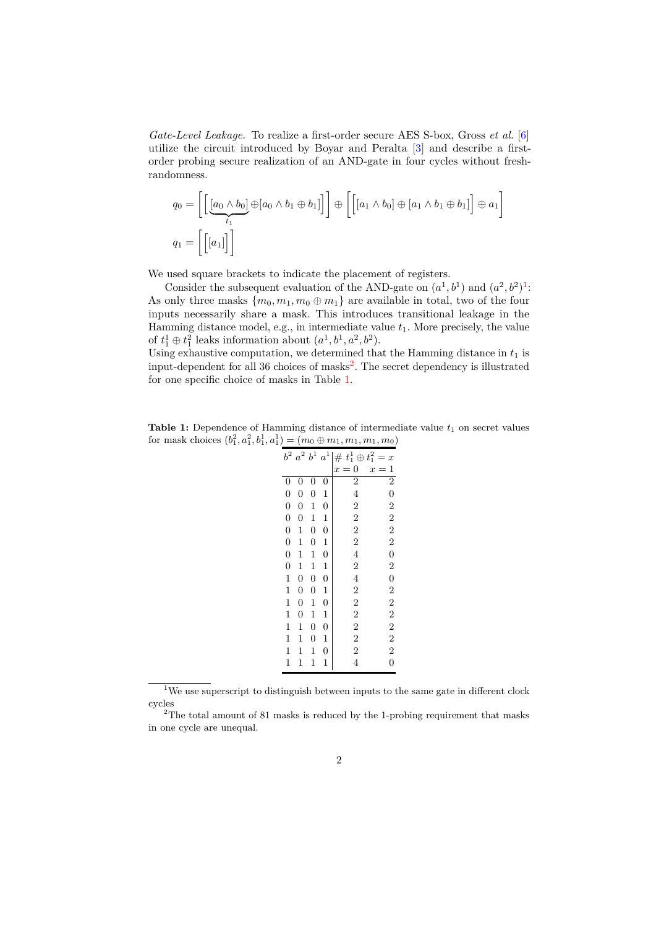*Gate-Level Leakage.* To realize a first-order secure AES S-box, Gross *et al.* [\[6\]](#page-4-0) utilize the circuit introduced by Boyar and Peralta [\[3\]](#page-4-2) and describe a firstorder probing secure realization of an AND-gate in four cycles without freshrandomness.

$$
q_0 = \left[ \left[ \underbrace{[a_0 \wedge b_0]}_{t_1} \oplus [a_0 \wedge b_1 \oplus b_1] \right] \right] \oplus \left[ \left[ [a_1 \wedge b_0] \oplus [a_1 \wedge b_1 \oplus b_1] \right] \oplus a_1 \right]
$$
  

$$
q_1 = \left[ \left[ [a_1] \right] \right]
$$

We used square brackets to indicate the placement of registers.

Consider the subsequent evaluation of the AND-gate on  $(a^1, b^1)$  $(a^1, b^1)$  $(a^1, b^1)$  and  $(a^2, b^2)^1$ : As only three masks  $\{m_0, m_1, m_0 \oplus m_1\}$  are available in total, two of the four inputs necessarily share a mask. This introduces transitional leakage in the Hamming distance model, e.g., in intermediate value *t*1. More precisely, the value of  $t_1^1 \oplus t_1^2$  leaks information about  $(a^1, b^1, a^2, b^2)$ .

Using exhaustive computation, we determined that the Hamming distance in  $t_1$  is  $\mu$ input-dependent for all 36 choices of masks<sup>[2](#page-1-1)</sup>. The secret dependency is illustrated for one specific choice of masks in Table [1.](#page-1-2)

<span id="page-1-2"></span>**Table 1:** Dependence of Hamming distance of intermediate value  $t_1$  on secret values for mask choices  $(b_1^2, a_1^2, b_1^1, a_1^1) = (m_0 \oplus m_1, m_1, m_1, m_0)$ 

|                  | $b^2$ $a^2$ $b^1$ |                  | $\boldsymbol{a}^1$ | $# t_1^1 \oplus t_1^2 = x$ |                                                |
|------------------|-------------------|------------------|--------------------|----------------------------|------------------------------------------------|
|                  |                   |                  |                    | $x=0$                      | $\mathbf{1}$<br>$x =$                          |
| $\boldsymbol{0}$ | 0                 | 0                | $\boldsymbol{0}$   | $\overline{2}$             |                                                |
| $\overline{0}$   | $\boldsymbol{0}$  | $\boldsymbol{0}$ | $\mathbf 1$        | $\overline{4}$             |                                                |
| $\boldsymbol{0}$ | $\boldsymbol{0}$  | 1                | $\boldsymbol{0}$   | $\overline{2}$             |                                                |
| $\overline{0}$   | $\boldsymbol{0}$  | 1                | $\mathbf{1}$       | $\overline{2}$             |                                                |
| $\overline{0}$   | $\mathbf{1}$      | $\boldsymbol{0}$ | $\boldsymbol{0}$   | $\overline{2}$             |                                                |
| $\boldsymbol{0}$ | 1                 | $\boldsymbol{0}$ | $\mathbf{1}$       | $\overline{2}$             |                                                |
| $\boldsymbol{0}$ | 1                 | 1                | $\overline{0}$     | $\overline{4}$             |                                                |
| $\overline{0}$   | 1                 | $\mathbf 1$      | $\mathbf{1}$       | $\overline{2}$             |                                                |
| $\mathbf{1}$     | $\boldsymbol{0}$  | $\boldsymbol{0}$ | $\overline{0}$     | $\overline{4}$             |                                                |
| $\,1$            | $\boldsymbol{0}$  | $\boldsymbol{0}$ | $\mathbf{1}$       | $\overline{2}$             |                                                |
| $\,1$            | $\boldsymbol{0}$  | $\mathbf{1}$     | $\boldsymbol{0}$   | $\overline{2}$             |                                                |
| 1                | $\boldsymbol{0}$  | $\mathbf 1$      | $\mathbf{1}$       | $\overline{2}$             |                                                |
| $\mathbf{1}$     | $\mathbf{1}$      | $\overline{0}$   | $\boldsymbol{0}$   | $\overline{2}$             |                                                |
| 1                | 1                 | $\boldsymbol{0}$ | $\mathbf{1}$       | $\overline{2}$             |                                                |
| $\mathbf 1$      | 1                 | $\mathbf 1$      | $\boldsymbol{0}$   | $\overline{2}$             | $\overline{2}$ 0 2 2 2 2 0 2 0 2 2 2 2 2 2 2 0 |
| $\mathbf 1$      | 1                 | 1                | $\mathbf{1}$       | $\overline{4}$             |                                                |

<span id="page-1-0"></span> $1$ We use superscript to distinguish between inputs to the same gate in different clock cycles

<span id="page-1-1"></span> $2$ The total amount of 81 masks is reduced by the 1-probing requirement that masks in one cycle are unequal.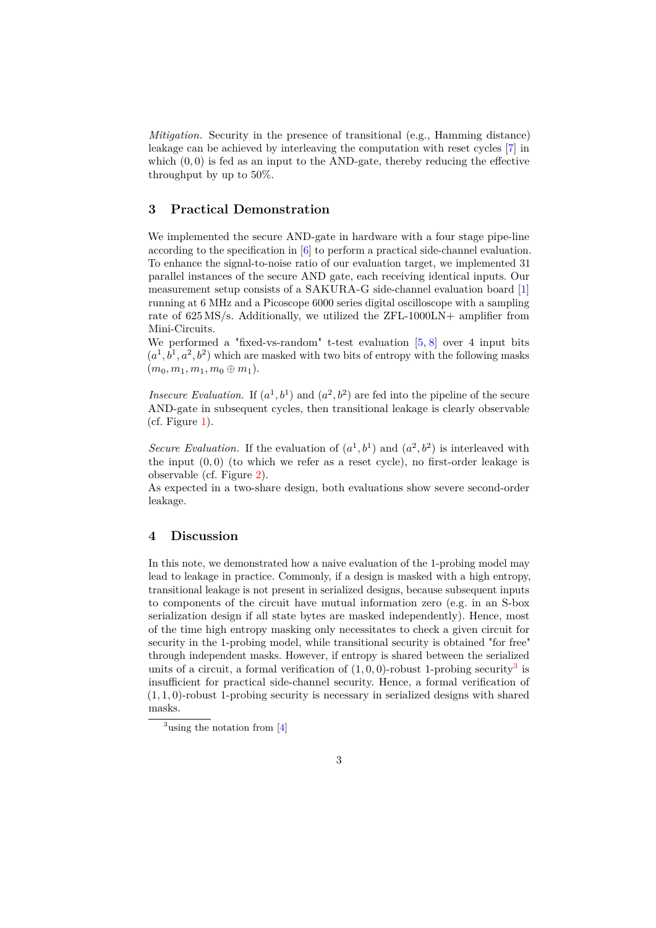*Mitigation.* Security in the presence of transitional (e.g., Hamming distance) leakage can be achieved by interleaving the computation with reset cycles [\[7\]](#page-4-3) in which  $(0,0)$  is fed as an input to the AND-gate, thereby reducing the effective throughput by up to 50%.

#### **3 Practical Demonstration**

We implemented the secure AND-gate in hardware with a four stage pipe-line according to the specification in [\[6\]](#page-4-0) to perform a practical side-channel evaluation. To enhance the signal-to-noise ratio of our evaluation target, we implemented 31 parallel instances of the secure AND gate, each receiving identical inputs. Our measurement setup consists of a SAKURA-G side-channel evaluation board [\[1\]](#page-4-4) running at 6 MHz and a Picoscope 6000 series digital oscilloscope with a sampling rate of 625 MS/s. Additionally, we utilized the ZFL-1000LN+ amplifier from Mini-Circuits.

We performed a "fixed-vs-random" t-test evaluation  $[5, 8]$  $[5, 8]$  $[5, 8]$  over 4 input bits  $(a<sup>1</sup>, b<sup>1</sup>, a<sup>2</sup>, b<sup>2</sup>)$  which are masked with two bits of entropy with the following masks  $(m_0, m_1, m_1, m_0 \oplus m_1).$ 

*Insecure Evaluation.* If  $(a^1, b^1)$  and  $(a^2, b^2)$  are fed into the pipeline of the secure AND-gate in subsequent cycles, then transitional leakage is clearly observable (cf. Figure [1\)](#page-3-0).

*Secure Evaluation.* If the evaluation of  $(a^1, b^1)$  and  $(a^2, b^2)$  is interleaved with the input  $(0,0)$  (to which we refer as a reset cycle), no first-order leakage is observable (cf. Figure [2\)](#page-3-1).

As expected in a two-share design, both evaluations show severe second-order leakage.

## **4 Discussion**

In this note, we demonstrated how a naive evaluation of the 1-probing model may lead to leakage in practice. Commonly, if a design is masked with a high entropy, transitional leakage is not present in serialized designs, because subsequent inputs to components of the circuit have mutual information zero (e.g. in an S-box serialization design if all state bytes are masked independently). Hence, most of the time high entropy masking only necessitates to check a given circuit for security in the 1-probing model, while transitional security is obtained "for free" through independent masks. However, if entropy is shared between the serialized units of a circuit, a formal verification of  $(1,0,0)$ -robust 1-probing security<sup>[3](#page-2-0)</sup> is insufficient for practical side-channel security. Hence, a formal verification of (1*,* 1*,* 0)-robust 1-probing security is necessary in serialized designs with shared masks.

<span id="page-2-0"></span> $3$ using the notation from [\[4\]](#page-4-7)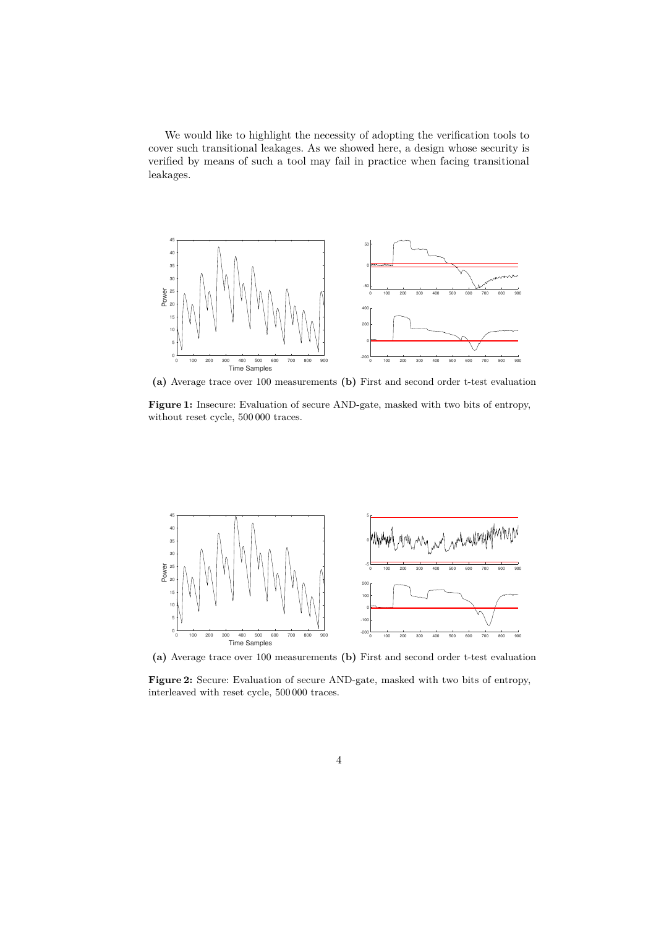We would like to highlight the necessity of adopting the verification tools to cover such transitional leakages. As we showed here, a design whose security is verified by means of such a tool may fail in practice when facing transitional leakages.

<span id="page-3-0"></span>

**(a)** Average trace over 100 measurements **(b)** First and second order t-test evaluation

**Figure 1:** Insecure: Evaluation of secure AND-gate, masked with two bits of entropy, without reset cycle, 500 000 traces.

<span id="page-3-1"></span>

**(a)** Average trace over 100 measurements **(b)** First and second order t-test evaluation

**Figure 2:** Secure: Evaluation of secure AND-gate, masked with two bits of entropy, interleaved with reset cycle, 500 000 traces.